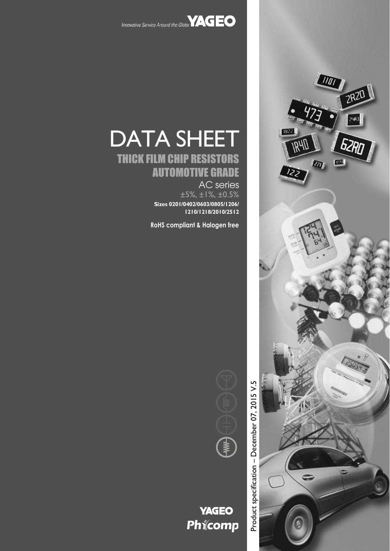

DATA SHEET

THICK FILM CHIP RESISTORS

AUTOMOTIVE GRADE

**Sizes 0201/0402/0603/0805/1206/**

**RoHS compliant & Halogen free**

AC series ±5%, ±1%, ±0.5%

**1210/1218/2010/2512**



Product specification - December 07, 2015 V.5 – December 07, 2015 V.5Product specification



# **YAGEO** Phicomp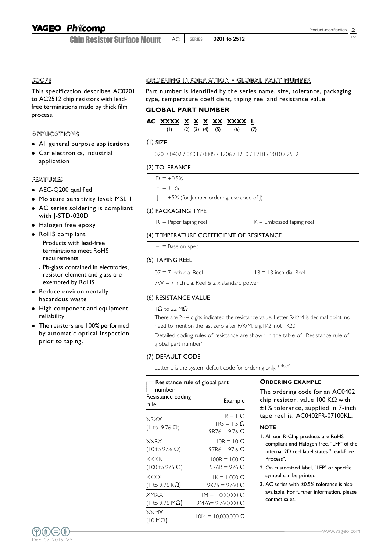#### Phicomp **YAGEO**

Chip Resistor Surface Mount <sup>12</sup> AC SERIES **0201 to 2512**

#### SCOPE

This specification describes AC0201 to AC2512 chip resistors with leadfree terminations made by thick film process.

#### APPLICATIONS

- All general purpose applications
- Car electronics, industrial application

#### FEATURES

- AEC-Q200 qualified
- Moisture sensitivity level: MSL 1
- AC series soldering is compliant with J-STD-020D
- Halogen free epoxy
- RoHS compliant
	- Products with lead-free terminations meet RoHS requirements
	- Pb-glass contained in electrodes, resistor element and glass are exempted by RoHS
- Reduce environmentally hazardous waste
- High component and equipment reliability
- The resistors are 100% performed by automatic optical inspection prior to taping.

#### ORDERING INFORMATION - GLOBAL PART NUMBER

Part number is identified by the series name, size, tolerance, packaging type, temperature coefficient, taping reel and resistance value.

## **GLOBAL PART NUMBER**

### **AC XXXX X X X XX XXXX L**

(1) (2) (3) (4) (5) (6) (7)

#### (1) SIZE

0201/ 0402 / 0603 / 0805 / 1206 / 1210 / 1218 / 2010 / 2512

#### (2) TOLERANCE

 $D = \pm 0.5%$ 

 $F = \pm 1\%$ 

 $J = \pm 5\%$  (for Jumper ordering, use code of J)

#### (3) PACKAGING TYPE

 $R =$  Paper taping reel  $K =$  Embossed taping reel

#### (4) TEMPERATURE COEFFICIENT OF RESISTANCE

 $-$  = Base on spec

#### (5) TAPING REEL

 $07 = 7$  inch dia. Reel  $13 = 13$  inch dia. Reel

 $7W = 7$  inch dia. Reel &  $2 \times$  standard power

#### (6) RESISTANCE VALUE

#### 1Ω to 22 MΩ

There are 2~4 digits indicated the resistance value. Letter R/K/M is decimal point, no need to mention the last zero after R/K/M, e.g.1K2, not 1K20.

Detailed coding rules of resistance are shown in the table of "Resistance rule of global part number".

#### (7) DEFAULT CODE

Letter L is the system default code for ordering only. (Note)

| — Resistance rule of global part<br>number |                                                |  |  |  |  |  |
|--------------------------------------------|------------------------------------------------|--|--|--|--|--|
| Resistance coding<br>rule                  | Example                                        |  |  |  |  |  |
| XRXX<br>(1 to 9.76 $\Omega$ )              | $IR = 1$ O<br>$IR5 = 1.5$ Q<br>$9R76 = 9.76$ Q |  |  |  |  |  |
| <b>XXRX</b>                                | $10R = 10 \Omega$                              |  |  |  |  |  |
| $(10 \text{ to } 97.6 \Omega)$             | 97R6 = 97.6 Q                                  |  |  |  |  |  |
| <b>XXXR</b>                                | $100R = 100$ O                                 |  |  |  |  |  |
| $(100 \text{ to } 976 \Omega)$             | 976R = 976 Q                                   |  |  |  |  |  |
| <b>XKXX</b>                                | $IK = 1.000 \Omega$                            |  |  |  |  |  |
| (1 to 9.76 K $\Omega$ )                    | $9K76 = 9760$ Q                                |  |  |  |  |  |
| <b>XMXX</b>                                | $IM = 1,000,000 \Omega$                        |  |  |  |  |  |
| $(1 to 9.76 M\Omega)$                      | 9M76= 9,760,000 Ω                              |  |  |  |  |  |
| <b>XXMX</b><br>(10 MΩ)                     | $10M = 10,000,000 \ \Omega$                    |  |  |  |  |  |

#### **ORDERING EXAMPLE**

The ordering code for an AC0402 chip resistor, value 100 KΩ with ±1% tolerance, supplied in 7-inch tape reel is: AC0402FR-07100KL.

#### **NOTE**

- 1. All our R-Chip products are RoHS compliant and Halogen free. "LFP" of the internal 2D reel label states "Lead-Free Process".
- 2. On customized label, "LFP" or specific symbol can be printed.
- 3. AC series with ±0.5% tolerance is also available. For further information, please contact sales.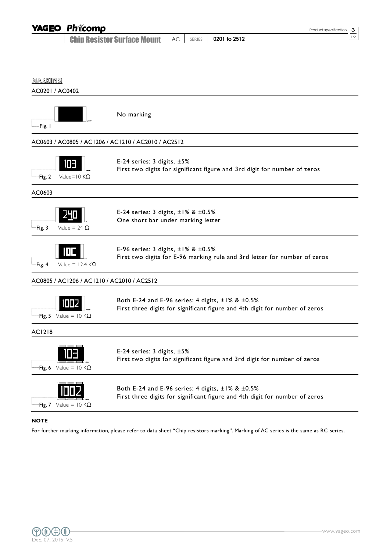|                                   | <b>YAGEO Phicomp</b>                       |                                                                                                                                 |              |              | Product specification | З  |
|-----------------------------------|--------------------------------------------|---------------------------------------------------------------------------------------------------------------------------------|--------------|--------------|-----------------------|----|
|                                   |                                            | <b>Chip Resistor Surface Mount</b>                                                                                              | AC<br>SERIES | 0201 to 2512 |                       | 12 |
|                                   |                                            |                                                                                                                                 |              |              |                       |    |
|                                   |                                            |                                                                                                                                 |              |              |                       |    |
| <u>MARKING</u><br>AC0201 / AC0402 |                                            |                                                                                                                                 |              |              |                       |    |
| -Fig. I                           |                                            | No marking                                                                                                                      |              |              |                       |    |
|                                   |                                            | AC0603 / AC0805 / AC1206 / AC1210 / AC2010 / AC2512                                                                             |              |              |                       |    |
| Fig. 2                            | 10 E I<br>Value= $10$ K $\Omega$           | E-24 series: 3 digits, ±5%<br>First two digits for significant figure and 3rd digit for number of zeros                         |              |              |                       |    |
| AC0603                            |                                            |                                                                                                                                 |              |              |                       |    |
| -Fig. 3                           | Value = 24 $\Omega$                        | E-24 series: 3 digits, $\pm 1\%$ & $\pm 0.5\%$<br>One short bar under marking letter                                            |              |              |                       |    |
| -Fig. 4                           | Value = $12.4$ K $\Omega$                  | E-96 series: 3 digits, $\pm 1\%$ & $\pm 0.5\%$<br>First two digits for E-96 marking rule and 3rd letter for number of zeros     |              |              |                       |    |
|                                   | AC0805 / AC1206 / AC1210 / AC2010 / AC2512 |                                                                                                                                 |              |              |                       |    |
|                                   | <b>Fig. 5</b> Value = 10 KS2               | Both E-24 and E-96 series: 4 digits, ±1% & ±0.5%<br>First three digits for significant figure and 4th digit for number of zeros |              |              |                       |    |
| <b>AC1218</b>                     |                                            |                                                                                                                                 |              |              |                       |    |
|                                   | Fig. 6 Value = $10 K\Omega$                | E-24 series: $3$ digits, $\pm 5\%$<br>First two digits for significant figure and 3rd digit for number of zeros                 |              |              |                       |    |
|                                   | Fig. 7 Value = $10 K\Omega$                | Both E-24 and E-96 series: 4 digits, ±1% & ±0.5%<br>First three digits for significant figure and 4th digit for number of zeros |              |              |                       |    |

### **NOTE**

For further marking information, please refer to data sheet "Chip resistors marking". Marking of AC series is the same as RC series.

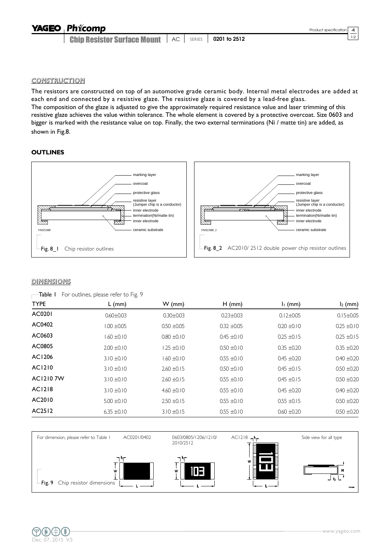# **YAGEO Phicomp**

**Chip Resistor Surface Mount** | AC | SERIES | 0201 to 2512

CONSTRUCTION

The resistors are constructed on top of an automotive grade ceramic body. Internal metal electrodes are added at each end and connected by a resistive glaze. The resistive glaze is covered by a lead-free glass. The composition of the glaze is adjusted to give the approximately required resistance value and laser trimming of this resistive glaze achieves the value within tolerance. The whole element is covered by a protective overcoat. Size 0603 and bigger is marked with the resistance value on top. Finally, the two external terminations (Ni / matte tin) are added, as shown in Fig.8.

### **OUTLINES**



### **DIMENSIONS**

|  | <b>Table I</b> For outlines, please refer to Fig. 9 |  |  |  |  |  |  |
|--|-----------------------------------------------------|--|--|--|--|--|--|
|--|-----------------------------------------------------|--|--|--|--|--|--|

| <b>TYPE</b>     | L (mm)          | $W$ (mm)        | $H$ (mm)        | $I1$ (mm)       | $I_2$ (mm)      |
|-----------------|-----------------|-----------------|-----------------|-----------------|-----------------|
| AC0201          | $0.60 \pm 0.03$ | $0.30 \pm 0.03$ | $0.23 \pm 0.03$ | $0.12 \pm 0.05$ | $0.15 \pm 0.05$ |
| AC0402          | $1.00 \pm 0.05$ | $0.50 \pm 0.05$ | $0.32 + 0.05$   | $0.20 \pm 0.10$ | $0.25 \pm 0.10$ |
| AC0603          | $1.60 \pm 0.10$ | $0.80 \pm 0.10$ | $0.45 \pm 0.10$ | $0.25 \pm 0.15$ | $0.25 \pm 0.15$ |
| AC0805          | $2.00 \pm 0.10$ | $1.25 \pm 0.10$ | $0.50 \pm 0.10$ | $0.35 \pm 0.20$ | $0.35 \pm 0.20$ |
| AC1206          | $3.10 \pm 0.10$ | $1.60 \pm 0.10$ | $0.55 \pm 0.10$ | $0.45 + 0.20$   | $0.40 \pm 0.20$ |
| AC1210          | $3.10 \pm 0.10$ | $2.60 \pm 0.15$ | $0.50 + 0.10$   | $0.45 \pm 0.15$ | $0.50 \pm 0.20$ |
| <b>AC12107W</b> | $3.10 \pm 0.10$ | $2.60 \pm 0.15$ | $0.55 \pm 0.10$ | $0.45 \pm 0.15$ | $0.50 \pm 0.20$ |
| <b>AC1218</b>   | $3.10 \pm 0.10$ | $4.60 \pm 0.10$ | $0.55 \pm 0.10$ | $0.45 + 0.20$   | $0.40 \pm 0.20$ |
| AC2010          | $5.00 \pm 0.10$ | $2.50 \pm 0.15$ | $0.55 \pm 0.10$ | $0.55 \pm 0.15$ | $0.50 \pm 0.20$ |
| AC2512          | $6.35 \pm 0.10$ | $3.10 \pm 0.15$ | $0.55 \pm 0.10$ | $0.60 \pm 0.20$ | $0.50 \pm 0.20$ |



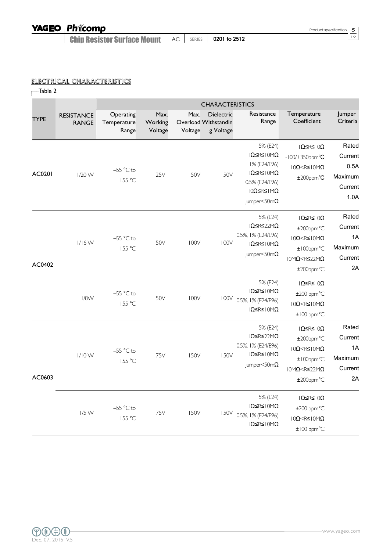**Chip Resistor Surface Mount** | AC | SERIES | 0201 to 2512

## ELECTRICAL CHARACTERISTICS

| Table 2     |                                   |                                   |                            |                 |                                                 |                                                                                                                                                    |                                                                                                                                                                 |                                                        |  |  |  |  |
|-------------|-----------------------------------|-----------------------------------|----------------------------|-----------------|-------------------------------------------------|----------------------------------------------------------------------------------------------------------------------------------------------------|-----------------------------------------------------------------------------------------------------------------------------------------------------------------|--------------------------------------------------------|--|--|--|--|
|             |                                   | <b>CHARACTERISTICS</b>            |                            |                 |                                                 |                                                                                                                                                    |                                                                                                                                                                 |                                                        |  |  |  |  |
| <b>TYPE</b> | <b>RESISTANCE</b><br><b>RANGE</b> | Operating<br>Temperature<br>Range | Max.<br>Working<br>Voltage | Max.<br>Voltage | Dielectric<br>Overload Withstandin<br>g Voltage | Resistance<br>Range                                                                                                                                | Temperature<br>Coefficient                                                                                                                                      | Jumper<br>Criteria                                     |  |  |  |  |
| AC0201      | $1/20$ W                          | $-55$ °C to<br>155 °C             | 25V                        | 50V             | 50V                                             | 5% (E24)<br>$I\Omega$ SRS $IOM\Omega$<br>1% (E24/E96)<br>$1\Omega \leq R \leq 10M\Omega$<br>0.5% (E24/E96)<br>10Ω ≤ R ≤ 1MΩ<br>Jumper<50m $\Omega$ | $\vert \Omega \leq R \leq \vert 0 \Omega \rangle$<br>$-100/+350$ ppm°C<br>$10\Omega < R \leq 10 M\Omega$<br>$±200$ ppm $°C$                                     | Rated<br>Current<br>0.5A<br>Maximum<br>Current<br>1.0A |  |  |  |  |
| AC0402      | $1/16$ W                          | $-55$ °C to<br>155 °C             | 50V                        | <b>100V</b>     | 100V                                            | 5% (E24)<br>IΩ≤R≤22MΩ<br>0.5%, I% (E24/E96)<br>$\vert \Omega \leq R \leq \vert 0 M \Omega \rangle$<br>Jumper<50m $\Omega$                          | $\vert \Omega \leq R \leq \vert 0 \Omega \rangle$<br>±200ppm°C<br>$10\Omega < R \leq 10 M\Omega$<br>±100ppm°C<br>$10M\Omega < R \leq 22M\Omega$<br>$±200$ ppm°C | Rated<br>Current<br>1A<br>Maximum<br>Current<br>2A     |  |  |  |  |
|             | $1/8$ W                           | $-55$ °C to<br>155 °C             | 50V                        | <b>100V</b>     | 100V                                            | 5% (E24)<br>$1\Omega \leq R \leq 10M\Omega$<br>0.5%, 1% (E24/E96)<br>$I\Omega$ SRS $I\Omega$ M $\Omega$                                            | $\vert \Omega \leq R \leq \vert 0 \Omega \rangle$<br>$±200$ ppm $°C$<br>$10\Omega < R \leq 10 M\Omega$<br>$±100$ ppm $°C$                                       |                                                        |  |  |  |  |
| AC0603      | $1/10$ W                          | $-55$ °C to<br>155 °C             | 75V                        | 150V            | <b>150V</b>                                     | 5% (E24)<br>IΩ≤R≤22MΩ<br>0.5%, 1% (E24/E96)<br>$  \Omega \leq R \leq   0 M \Omega$<br>$ $ umper<50m $\Omega$                                       | $\vert \Omega \leq R \leq \vert 0 \Omega \rangle$<br>±200ppm°C<br>$10\Omega < R \leq 10 M\Omega$<br>$±100$ ppm°C<br>$10M\Omega < R \leq 22M\Omega$<br>±200ppm°C | Rated<br>Current<br>1A<br>Maximum<br>Current<br>2A     |  |  |  |  |
|             | $1/5$ W                           | $-55$ °C to<br>155 °C             | 75V                        | <b>150V</b>     | <b>150V</b>                                     | 5% (E24)<br>$1\Omega \leq R \leq 10M\Omega$<br>0.5%, 1% (E24/E96)<br>$\vert \Omega \leq R \leq \vert 0 \rangle \Omega$                             | $ \Omega \leq R \leq  0\Omega$<br>$±200$ ppm $°C$<br>$10\Omega < R \leq 10 M\Omega$<br>$±100$ ppm $°C$                                                          |                                                        |  |  |  |  |

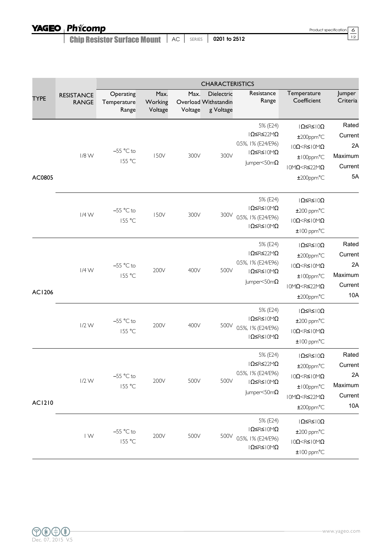Product specification  $\boxed{6}$ <br>12

**Chip Resistor Surface Mount** | AC | SERIES | 0201 to 2512

|               |                                   | <b>CHARACTERISTICS</b>            |                            |                 |                                                 |                                                                                                                                   |                                                                                                                                                                                                                 |                                                     |  |  |
|---------------|-----------------------------------|-----------------------------------|----------------------------|-----------------|-------------------------------------------------|-----------------------------------------------------------------------------------------------------------------------------------|-----------------------------------------------------------------------------------------------------------------------------------------------------------------------------------------------------------------|-----------------------------------------------------|--|--|
| <b>TYPE</b>   | <b>RESISTANCE</b><br><b>RANGE</b> | Operating<br>Temperature<br>Range | Max.<br>Working<br>Voltage | Max.<br>Voltage | Dielectric<br>Overload Withstandin<br>g Voltage | Resistance<br>Range                                                                                                               | Temperature<br>Coefficient                                                                                                                                                                                      | Jumper<br>Criteria                                  |  |  |
| AC0805        | 1/8 W                             | $-55$ °C to<br>155 °C             | 150V                       | 300V            | 300V                                            | 5% (E24)<br>IΩ≤R≤22MΩ<br>0.5%, I% (E24/E96)<br>$1\Omega \leq R \leq 10M\Omega$<br>Jumper<50m $\Omega$                             | $\vert \Omega \leq R \leq \vert 0 Ω$<br>$±200$ ppm°C<br>$10\Omega < R \leq 10 M\Omega$<br>$±100$ ppm°C<br>$10M\Omega < R \leq 22M\Omega$<br>±200ppm°C                                                           | Rated<br>Current<br>2A<br>Maximum<br>Current<br>5A  |  |  |
|               | $1/4$ W                           | $-55$ °C to<br>155 °C             | 150V                       | 300V            | 300V                                            | 5% (E24)<br>$1\Omega \leq R \leq 10M\Omega$<br>0.5%, 1% (E24/E96)<br>$\mid \Omega \leq R \leq \mid \text{OM}\Omega$               | $\vert \Omega \leq$ R≤ $\vert 0\Omega$<br>$±200$ ppm $°C$<br>$10\Omega < R \leq 10 M\Omega$<br>$±100$ ppm $°C$                                                                                                  |                                                     |  |  |
| AC1206        | $1/4$ W                           | $-55$ °C to<br>155 °C             | 200V                       | 400V            | 500V                                            | 5% (E24)<br>$I\Omega$ SR S 22M $\Omega$<br>0.5%, I% (E24/E96)<br>$1\Omega \leq R \leq 10M\Omega$<br>Jumper<50m $\Omega$           | $\vert \Omega \leq$ R≤ $\vert 0\Omega$<br>±200ppm°C<br>$10\Omega < R \leq 10 M\Omega$<br>$±100$ ppm°C<br>$10M\Omega < R \leq 22M\Omega$<br>$±200$ ppm $°C$                                                      | Rated<br>Current<br>2A<br>Maximum<br>Current<br>10A |  |  |
|               | $1/2$ W                           | $-55$ °C to<br>155 °C             | 200V                       | 400V            | 500V                                            | 5% (E24)<br>$  \Omega \leq R \leq   0 M \Omega$<br>0.5%, 1% (E24/E96)<br>$10 \leq R \leq 10 M\Omega$                              | Ω≤R≤ 0Ω<br>$±200$ ppm $°C$<br>$10\Omega < R \leq 10 M\Omega$<br>$±100$ ppm $°C$                                                                                                                                 |                                                     |  |  |
| <b>AC1210</b> | $1/2$ W                           | $-55$ °C to<br>155 °C             | 200V                       | 500V            | 500V                                            | 5% (E24)<br>IΩ≤R≤22MΩ<br>0.5%, 1% (E24/E96)<br>$\vert \Omega \leq R \leq \vert 0 \rangle \setminus \Omega$<br>Jumper<50m $\Omega$ | Ω≤R≤ 0Ω<br>±200ppm°C<br>$\mathsf{IO}\Omega\!\!<\!\!\mathsf{R}\!\!\leq\!\mathsf{IO}\!\!\!\!\!\wedge\!\!\!\!\wedge\!\!\!\!\wedge\!\!\!\!\wedge$<br>±100ppm°C<br>$10M\Omega < R \leq 22M\Omega$<br>$±200$ ppm $°C$ | Rated<br>Current<br>2A<br>Maximum<br>Current<br>10A |  |  |
|               | IW                                | $-55$ °C to<br>155 °C             | 200V                       | 500V            | 500V                                            | 5% (E24)<br>$1\Omega \leq R \leq 10M\Omega$<br>0.5%, 1% (E24/E96)<br>$\vert \Omega \leq R \leq \vert 0 \rangle \setminus \Omega$  | $\vert \Omega \leq R \leq \vert 0 \Omega \rangle$<br>$±200$ ppm $°C$<br>$10\Omega < R \leq 10 M\Omega$<br>$±100$ ppm $°C$                                                                                       |                                                     |  |  |

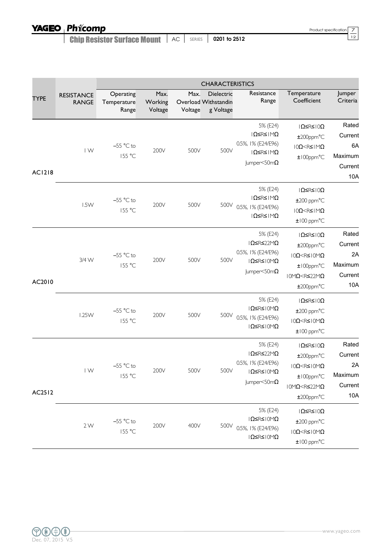Product specification  $\frac{7}{12}$ 

**Chip Resistor Surface Mount** | AC | SERIES | 0201 to 2512

|               | <b>CHARACTERISTICS</b>            |                                   |                            |                 |                                                 |                                                                                                                                            |                                                                                                                                                                  |                                                     |  |  |
|---------------|-----------------------------------|-----------------------------------|----------------------------|-----------------|-------------------------------------------------|--------------------------------------------------------------------------------------------------------------------------------------------|------------------------------------------------------------------------------------------------------------------------------------------------------------------|-----------------------------------------------------|--|--|
| <b>TYPE</b>   | <b>RESISTANCE</b><br><b>RANGE</b> | Operating<br>Temperature<br>Range | Max.<br>Working<br>Voltage | Max.<br>Voltage | Dielectric<br>Overload Withstandin<br>g Voltage | Resistance<br>Range                                                                                                                        | Temperature<br>Coefficient                                                                                                                                       | Jumper<br>Criteria                                  |  |  |
| <b>AC1218</b> | $\mathsf{I} \mathsf{W}$           | $-55$ °C to<br>155 °C             | 200V                       | 500V            | 500V                                            | 5% (E24)<br>IΩ≤R≤IMΩ<br>0.5%, I% (E24/E96)<br> Ω≤R≤ MΩ<br>Jumper<50m $\Omega$                                                              | $\vert \Omega \leq$ R≤ $\vert 0$ Ω<br>$±200$ ppm $°C$<br>$10\Omega < R \leq 1 \text{M}\Omega$<br>±100ppm°C                                                       | Rated<br>Current<br>6A<br>Maximum<br>Current<br>10A |  |  |
|               | 1.5W                              | $-55$ °C to<br>155 °C             | 200V                       | 500V            | 500V                                            | 5% (E24)<br> Ω≤R≤ MΩ<br>0.5%, 1% (E24/E96)<br>IΩ≤R≤IMΩ                                                                                     | $\vert \Omega \leq R \leq \vert 0\Omega$<br>$±200$ ppm $°C$<br>$10\Omega < R \leq 1 \text{M}\Omega$<br>$±100$ ppm $°C$                                           |                                                     |  |  |
| AC2010        | 3/4 W                             | $-55$ °C to<br>155 °C             | 200V                       | 500V            | 500V                                            | 5% (E24)<br>IΩ≤R≤22MΩ<br>0.5%, I% (E24/E96)<br>$1\Omega \leq R \leq 10M\Omega$<br>Jumper<50m $\Omega$                                      | $\vert \Omega \leq$ R≤ $\vert 0\Omega$<br>$±200$ ppm $°C$<br>$10\Omega < R \leq 10 M\Omega$<br>$±100$ ppm°C<br>$10M\Omega < R \leq 22M\Omega$<br>$±200$ ppm $°C$ | Rated<br>Current<br>2A<br>Maximum<br>Current<br>10A |  |  |
|               | <b>1.25W</b>                      | $-55$ °C to<br>155 °C             | 200V                       | 500V            | 500V                                            | 5% (E24)<br>$\vert \Omega \leq R \leq \vert 0 M \Omega \rangle$<br>0.5%, 1% (E24/E96)<br>$  \Omega \leq R \leq   0 M \Omega$               | $ \Omega \leq R \leq  0\Omega$<br>$±200$ ppm $°C$<br>$10\Omega < R \leq 10 M\Omega$<br>$±100$ ppm $°C$                                                           |                                                     |  |  |
| AC2512        | $\mathsf{I} \mathsf{W}$           | $-55$ °C to<br>155 °C             | 200V                       | 500V            | 500V                                            | 5% (E24)<br>IΩ≤R≤22MΩ<br>0.5%, 1% (E24/E96)<br>$\mid \Omega \leq R \leq \mid \text{OM}\Omega$<br>$ $ umper<50m $\Omega$                    | $ \Omega \leq R \leq  0\Omega$<br>$±200$ ppm $°C$<br>$10\Omega < R \leq 10 M\Omega$<br>±100ppm°C<br>$10M\Omega < R \leq 22M\Omega$<br>$±200$ ppm°C               | Rated<br>Current<br>2A<br>Maximum<br>Current<br>10A |  |  |
|               | 2W                                | $-55$ °C to<br>155 °C             | 200V                       | 400V            | 500V                                            | 5% (E24)<br>$\vert \Omega \leq R \leq \vert 0 \rangle \Omega$<br>0.5%, 1% (E24/E96)<br>$\vert \Omega \leq R \leq \vert 0 M \Omega \rangle$ | $\vert \Omega \leq R \leq \vert 0 \Omega \rangle$<br>$±200$ ppm $°C$<br>$10\Omega < R \leq 10 M\Omega$<br>$±100$ ppm $°C$                                        |                                                     |  |  |

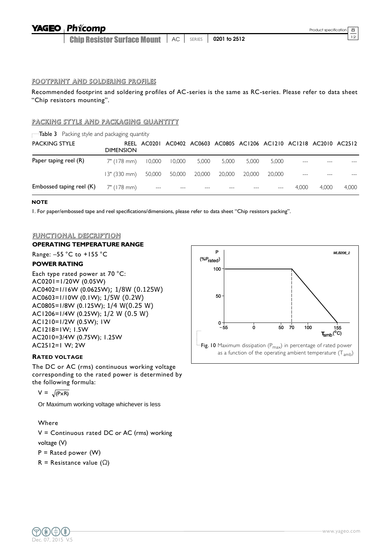#### **Phicomp YAGEO**

Chip Resistor Surface Mount **12** AC SERIES **0201 to 2512** 

#### FOOTPRINT AND SOLDERING PROFILES

Recommended footprint and soldering profiles of AC-series is the same as RC-series. Please refer to data sheet "Chip resistors mounting".

#### PACKING STYLE AND PACKAGING QUANTITY

 $\Box$ Table 3 Packing style and packaging quantity

| <b>PACKING STYLE</b>     | <b>DIMENSION</b>                  |                      | REEL AC0201 AC0402 AC0603 AC0805 AC1206 AC1210 AC1218 AC2010 AC2512 |       |        |        |        |                   |       |       |
|--------------------------|-----------------------------------|----------------------|---------------------------------------------------------------------|-------|--------|--------|--------|-------------------|-------|-------|
| Paper taping reel (R)    | 7" (178 mm)                       | 10.000               | 10,000                                                              | 5,000 | 5.000  | 5.000  | 5.000  |                   |       |       |
|                          | 13" (330 mm) 50,000 50,000 20,000 |                      |                                                                     |       | 20.000 | 20.000 | 20,000 | $\qquad \qquad -$ |       |       |
| Embossed taping reel (K) | 7" (178 mm)                       | $\sim$ $\sim$ $\sim$ |                                                                     |       |        |        |        | 4.000             | 4.000 | 4.000 |

#### **NOTE**

I. For paper/embossed tape and reel specifications/dimensions, please refer to data sheet "Chip resistors packing".<br>.

#### <u>functional description</u>  $\frac{1000}{1000}$

## OPERATING TEMPERATURE RANGE

Range: –55 °C to +155 °C<br>-----------------

## **POWER RATING** 3

Each type rated power at 70 °C: ستان باره العاملية بارية بارية<br>AC0201=1/20W (0.05W) AC0402=1/16W (0.0625W); 1/8W (0.125W) AC0603=1/10W (0.1W); 1/5W (0.2W)  $AC0805=1/8W (0.125W); 1/4 W(0.25 W)$ AC1206=1/4W (0.25W); 1/2 W (0.5 W) AC1200-1/4W (0.25W); IV<br>AC1210=1/2W (0.5W); IW AC1218=1W; 1.5W 0 AC2010=3/4W (0.75W); 1.25W PT251 AC2512=1 W; 2W 2 .<br>^

#### **RATED VOLTAGE**

The DC or AC (rms) continuous working voltage corresponding to the rated power is determined by the following formula:

 $V = \sqrt{P \times R}$ 

Or Maximum working voltage whichever is less

#### Where

V = Continuous rated DC or AC (rms) working voltage (V)  $P =$  Rated power (W) R = Resistance value  $(\Omega)$ 



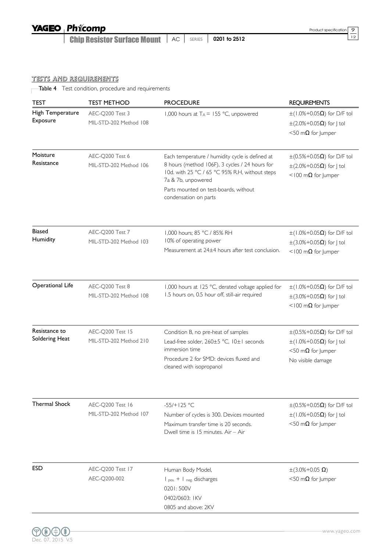**Chip Resistor Surface Mount** | AC | SERIES | 0201 to 2512

TESTS AND REQUIREMENTS

Table 4 Test condition, procedure and requirements

| <b>TEST</b>                                                                                     | <b>TEST METHOD</b>                                                                                                                                                                                                                                                                       | <b>PROCEDURE</b>                                                                                                                                       | <b>REQUIREMENTS</b>                                                                                                                |  |  |
|-------------------------------------------------------------------------------------------------|------------------------------------------------------------------------------------------------------------------------------------------------------------------------------------------------------------------------------------------------------------------------------------------|--------------------------------------------------------------------------------------------------------------------------------------------------------|------------------------------------------------------------------------------------------------------------------------------------|--|--|
| High Temperature<br>Exposure                                                                    | AEC-Q200 Test 3<br>MIL-STD-202 Method 108                                                                                                                                                                                                                                                | 1,000 hours at $T_A = 155 °C$ , unpowered                                                                                                              | $\pm$ (1.0%+0.05 $\Omega$ ) for D/F tol<br>$\pm$ (2.0%+0.05 $\Omega$ ) for J tol<br><50 m $\Omega$ for Jumper                      |  |  |
| Moisture<br>Resistance                                                                          | AEC-Q200 Test 6<br>Each temperature / humidity cycle is defined at<br>8 hours (method 106F), 3 cycles / 24 hours for<br>MIL-STD-202 Method 106<br>10d. with 25 °C / 65 °C 95% R.H, without steps<br>7a & 7b, unpowered<br>Parts mounted on test-boards, without<br>condensation on parts |                                                                                                                                                        | $\pm (0.5\% + 0.05\Omega)$ for D/F tol<br>$\pm$ (2.0%+0.05 $\Omega$ ) for J tol<br><100 m $\Omega$ for Jumper                      |  |  |
| <b>Biased</b><br>Humidity                                                                       | AEC-Q200 Test 7<br>MIL-STD-202 Method 103                                                                                                                                                                                                                                                | 1,000 hours; 85 °C / 85% RH<br>10% of operating power<br>Measurement at 24±4 hours after test conclusion.                                              | $\pm$ (1.0%+0.05 $\Omega$ ) for D/F tol<br>$\pm$ (3.0%+0.05Ω) for   tol<br><100 m $\Omega$ for Jumper                              |  |  |
| <b>Operational Life</b>                                                                         | AEC-Q200 Test 8<br>MIL-STD-202 Method 108                                                                                                                                                                                                                                                | 1,000 hours at 125 °C, derated voltage applied for<br>1.5 hours on, 0.5 hour off, still-air required                                                   | $\pm$ (1.0%+0.05 $\Omega$ ) for D/F tol<br>$\pm$ (3.0%+0.05 $\Omega$ ) for J tol<br><100 m $\Omega$ for Jumper                     |  |  |
| Resistance to<br>AEC-Q200 Test 15<br>Soldering Heat<br>MIL-STD-202 Method 210<br>immersion time |                                                                                                                                                                                                                                                                                          | Condition B, no pre-heat of samples<br>Lead-free solder, 260±5 °C, 10±1 seconds<br>Procedure 2 for SMD: devices fluxed and<br>cleaned with isopropanol | $\pm (0.5\% + 0.05 \Omega)$ for D/F tol<br>$\pm$ (1.0%+0.05 $\Omega$ ) for J tol<br><50 m $\Omega$ for Jumper<br>No visible damage |  |  |
| <b>Thermal Shock</b>                                                                            | AEC-Q200 Test 16<br>MIL-STD-202 Method 107                                                                                                                                                                                                                                               | $-55/+125 °C$<br>Number of cycles is 300. Devices mounted<br>Maximum transfer time is 20 seconds.<br>Dwell time is 15 minutes. Air - Air               | $\pm (0.5\% + 0.05\Omega)$ for D/F tol<br>$\pm$ (1.0%+0.05 $\Omega$ ) for J tol<br><50 m $\Omega$ for Jumper                       |  |  |
| <b>ESD</b>                                                                                      | AEC-Q200 Test 17<br>AEC-Q200-002                                                                                                                                                                                                                                                         | Human Body Model,<br>I pos. + I neg. discharges<br>0201:500V<br>0402/0603: IKV<br>0805 and above: 2KV                                                  | $\pm(3.0\% + 0.05 \Omega)$<br><50 m $\Omega$ for Jumper                                                                            |  |  |

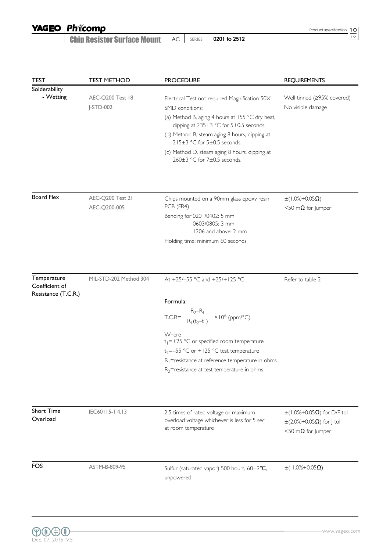# YAGEO Phicomp

**Chip Resistor Surface Mount** | AC | SERIES | 0201 to 2512

Product specification 10<br>12

| <b>TEST</b>                                          | <b>TEST METHOD</b>               | <b>PROCEDURE</b>                                                                                                                                                                                                                                                                                                                               | <b>REQUIREMENTS</b>                                                                                  |
|------------------------------------------------------|----------------------------------|------------------------------------------------------------------------------------------------------------------------------------------------------------------------------------------------------------------------------------------------------------------------------------------------------------------------------------------------|------------------------------------------------------------------------------------------------------|
| Solderability<br>- Wetting                           | AEC-Q200 Test 18<br>$J-STD-002$  | Electrical Test not required Magnification 50X<br>SMD conditions:<br>(a) Method B, aging 4 hours at 155 °C dry heat,<br>dipping at 235±3 °C for 5±0.5 seconds.<br>(b) Method B, steam aging 8 hours, dipping at<br>$215\pm3$ °C for $5\pm0.5$ seconds.<br>(c) Method D, steam aging 8 hours, dipping at<br>$260\pm3$ °C for $7\pm0.5$ seconds. | Well tinned (≥95% covered)<br>No visible damage                                                      |
| <b>Board Flex</b>                                    | AEC-Q200 Test 21<br>AEC-Q200-005 | Chips mounted on a 90mm glass epoxy resin<br>PCB (FR4)<br>Bending for 0201/0402: 5 mm<br>0603/0805: 3 mm<br>1206 and above: 2 mm<br>Holding time: minimum 60 seconds                                                                                                                                                                           | $\pm(1.0\% + 0.05\Omega)$<br><50 m $\Omega$ for lumper                                               |
| Temperature<br>Coefficient of<br>Resistance (T.C.R.) | MIL-STD-202 Method 304           | At +25/-55 °C and +25/+125 °C<br>Formula:<br>$T.C.R = \frac{R_2 - R_1}{R_1(t_2 - t_1)} \times 10^6 \text{ (ppm/°C)}$<br>Where<br>$t_1 = +25$ °C or specified room temperature<br>$t_2 = -55$ °C or +125 °C test temperature<br>$R_1$ =resistance at reference temperature in ohms<br>$R_2$ =resistance at test temperature in ohms             | Refer to table 2                                                                                     |
| <b>Short Time</b><br>Overload                        | IEC60115-14.13                   | 2.5 times of rated voltage or maximum<br>overload voltage whichever is less for 5 sec<br>at room temperature                                                                                                                                                                                                                                   | $\pm$ (1.0%+0.05 $\Omega$ ) for D/F tol<br>$\pm$ (2.0%+0.05Ω) for J tol<br><50 m $\Omega$ for Jumper |
| FOS                                                  | ASTM-B-809-95                    | Sulfur (saturated vapor) 500 hours, 60±2°C,<br>unpowered                                                                                                                                                                                                                                                                                       | $\pm$ (1.0%+0.05 $\Omega$ )                                                                          |

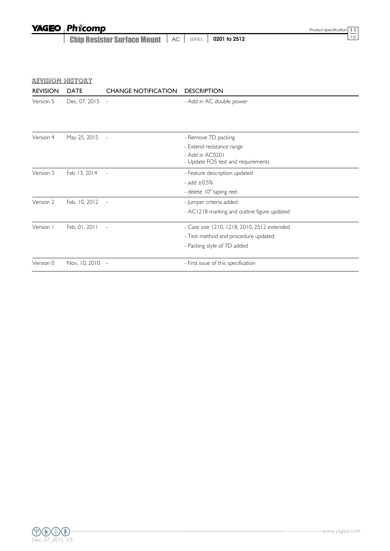| <b>YAGEO Phicomp</b>                               |  |              | Product specification 11 |
|----------------------------------------------------|--|--------------|--------------------------|
| <b>Chip Resistor Surface Mount   AC   SERIES  </b> |  | 0201 to 2512 |                          |

| <b>REVISION</b> | <b>DATE</b>     | <b>CHANGE NOTIFICATION</b> | <b>DESCRIPTION</b>                          |
|-----------------|-----------------|----------------------------|---------------------------------------------|
| Version 5       | Dec. 07, 2015 - |                            | - Add in AC double power                    |
|                 |                 |                            |                                             |
| Version 4       | May 25, 2015    | $\overline{\phantom{a}}$   | - Remove 7D packing                         |
|                 |                 |                            | - Extend resistance range                   |
|                 |                 |                            | - Add in AC0201                             |
|                 |                 |                            | - Update FOS test and requirements          |
| Version 3       | Feb 13, 2014    |                            | - Feature description updated               |
|                 |                 |                            | - add $\pm 0.5\%$                           |
|                 |                 |                            | - delete 10" taping reel                    |
| Version 2       | Feb. 10, 2012   |                            | - Jumper criteria added                     |
|                 |                 |                            | - AC1218 marking and outline figure updated |
| Version I       | Feb. 01, 2011   |                            | - Case size 1210, 1218, 2010, 2512 extended |
|                 |                 |                            | - Test method and procedure updated         |
|                 |                 |                            | - Packing style of 7D added                 |
| Version 0       | Nov. 10, 2010   | $\sim$                     | - First issue of this specification         |